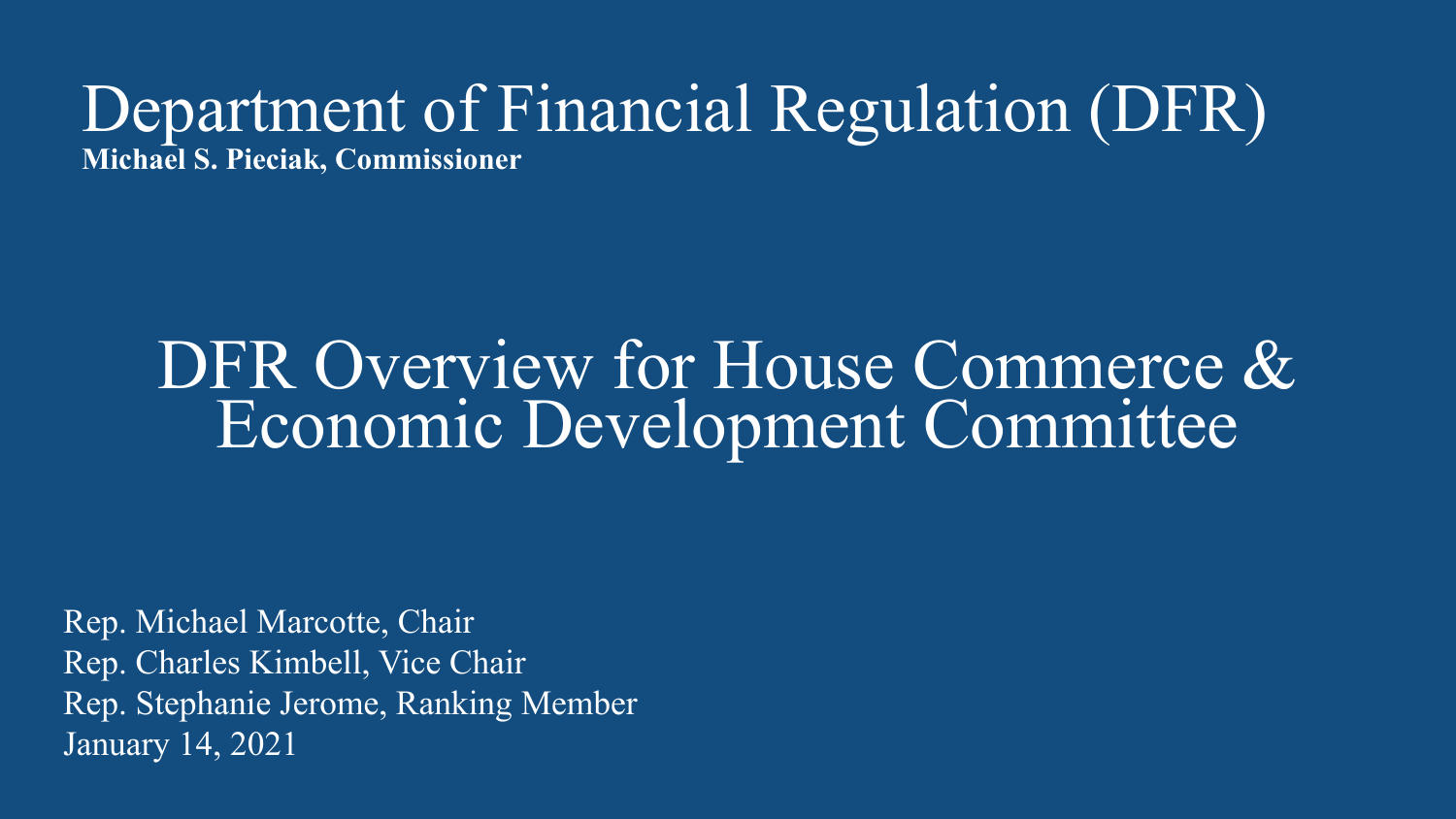### Department of Financial Regulation (DFR) **Michael S. Pieciak, Commissioner**

### DFR Overview for House Commerce & Economic Development Committee

Rep. Michael Marcotte, Chair Rep. Charles Kimbell, Vice Chair Rep. Stephanie Jerome, Ranking Member January 14, 2021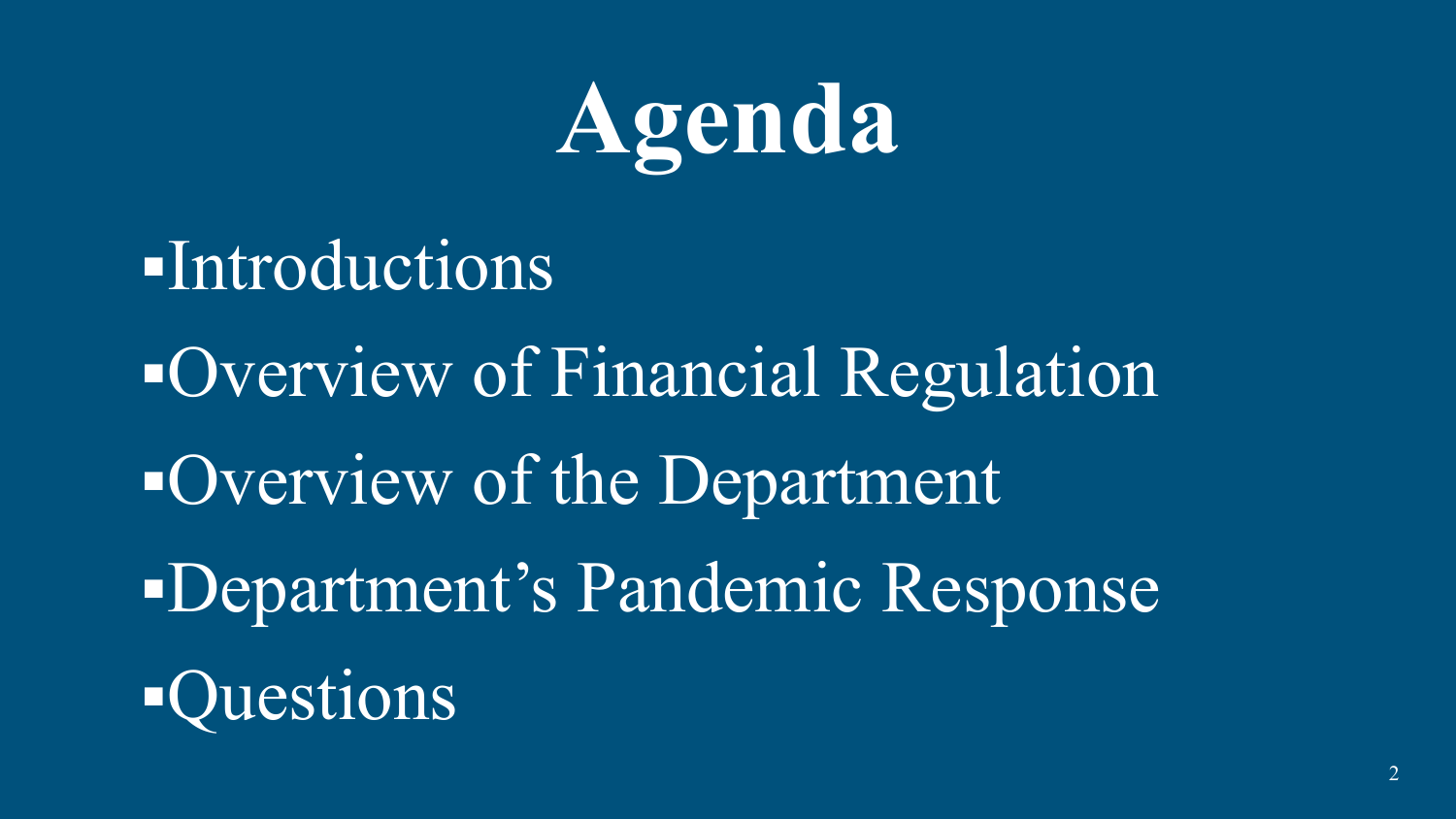

▪Introductions ▪Overview of Financial Regulation ▪Overview of the Department ▪Department's Pandemic Response **Questions**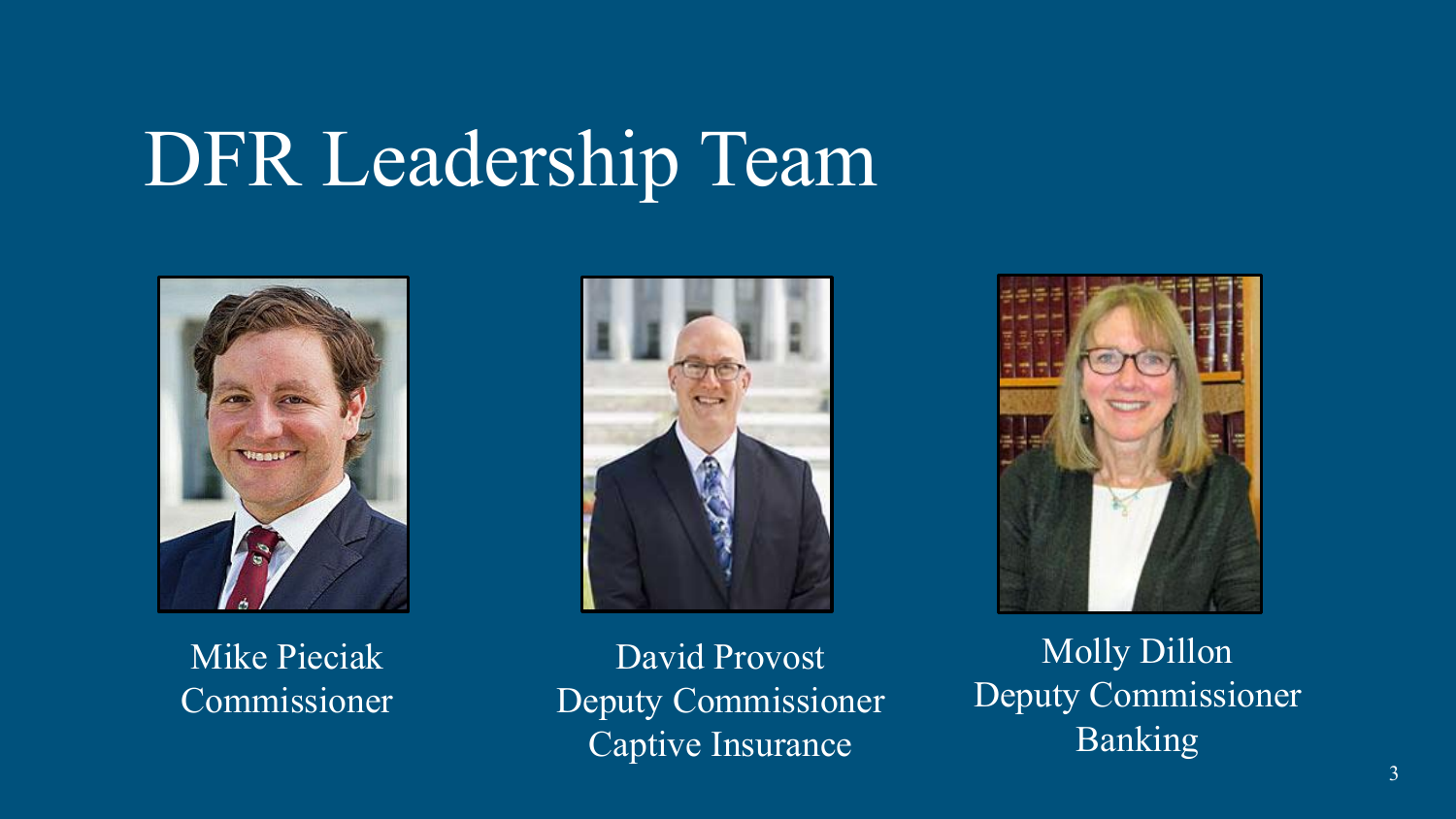# DFR Leadership Team



Mike Pieciak Commissioner



David Provost Deputy Commissioner Captive Insurance



Molly Dillon Deputy Commissioner Banking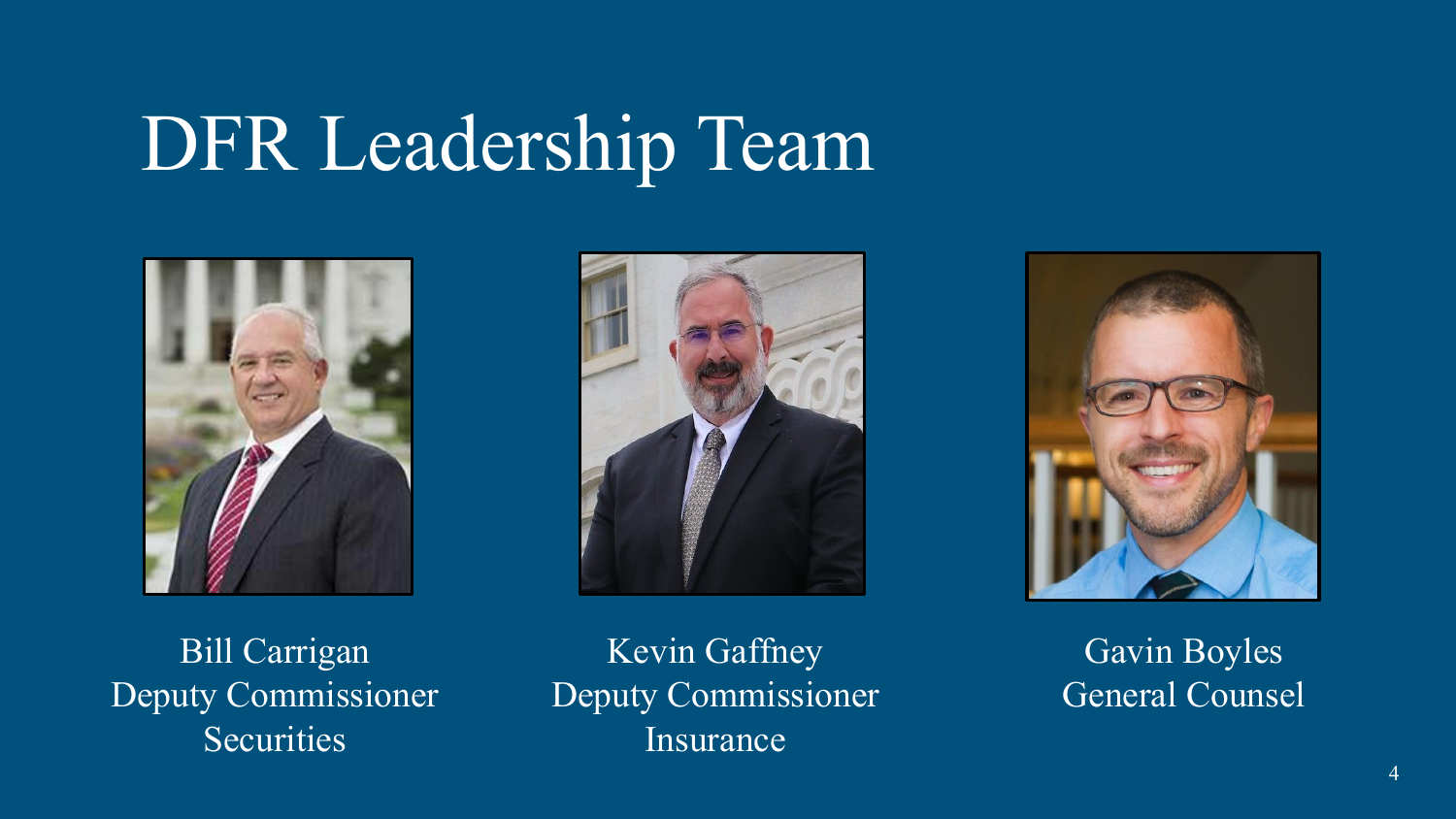## DFR Leadership Team







Bill Carrigan Deputy Commissioner **Securities** 

Kevin Gaffney Deputy Commissioner Insurance

Gavin Boyles General Counsel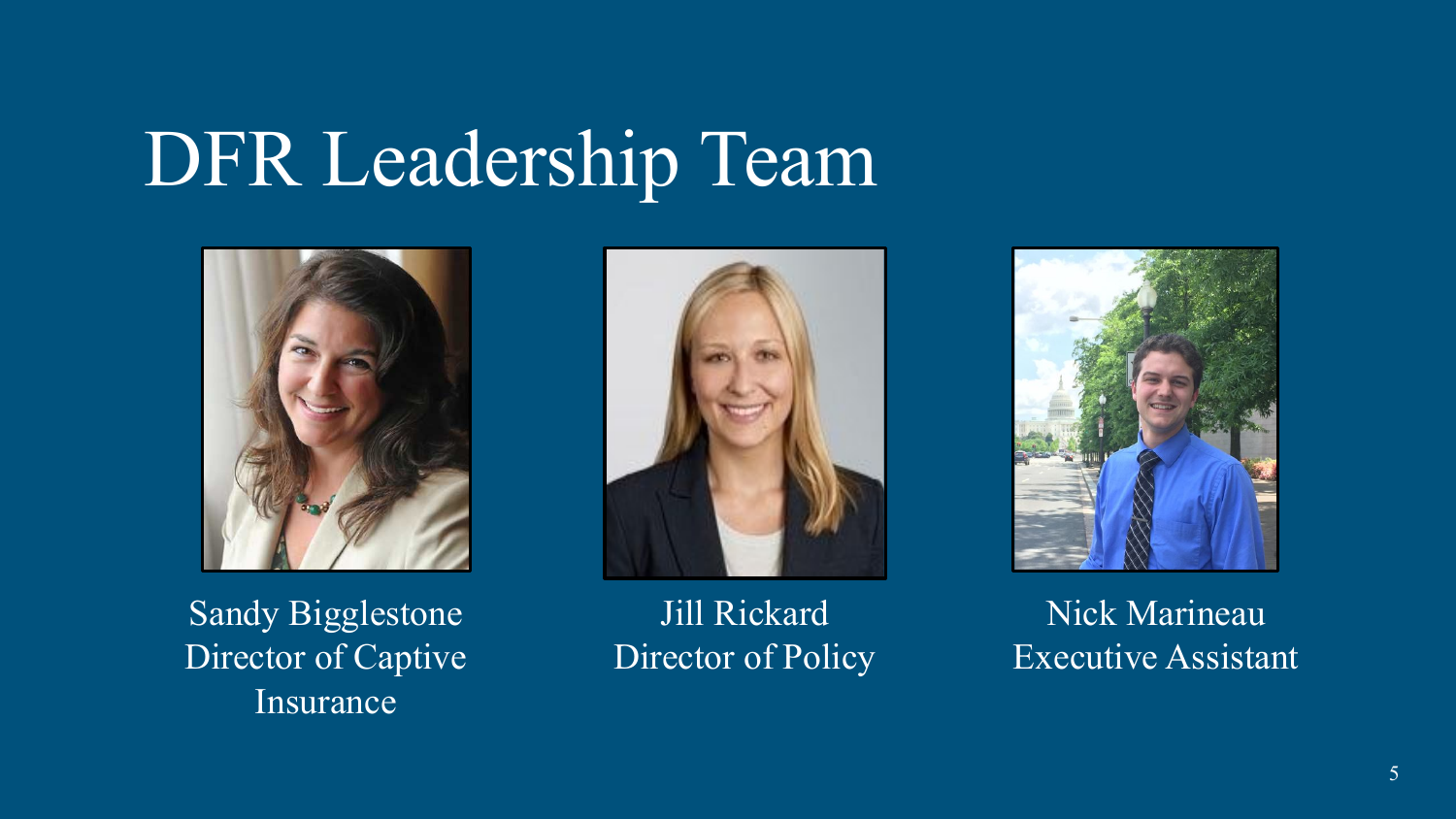## DFR Leadership Team



Sandy Bigglestone Director of Captive Insurance



Jill Rickard Director of Policy



Nick Marineau Executive Assistant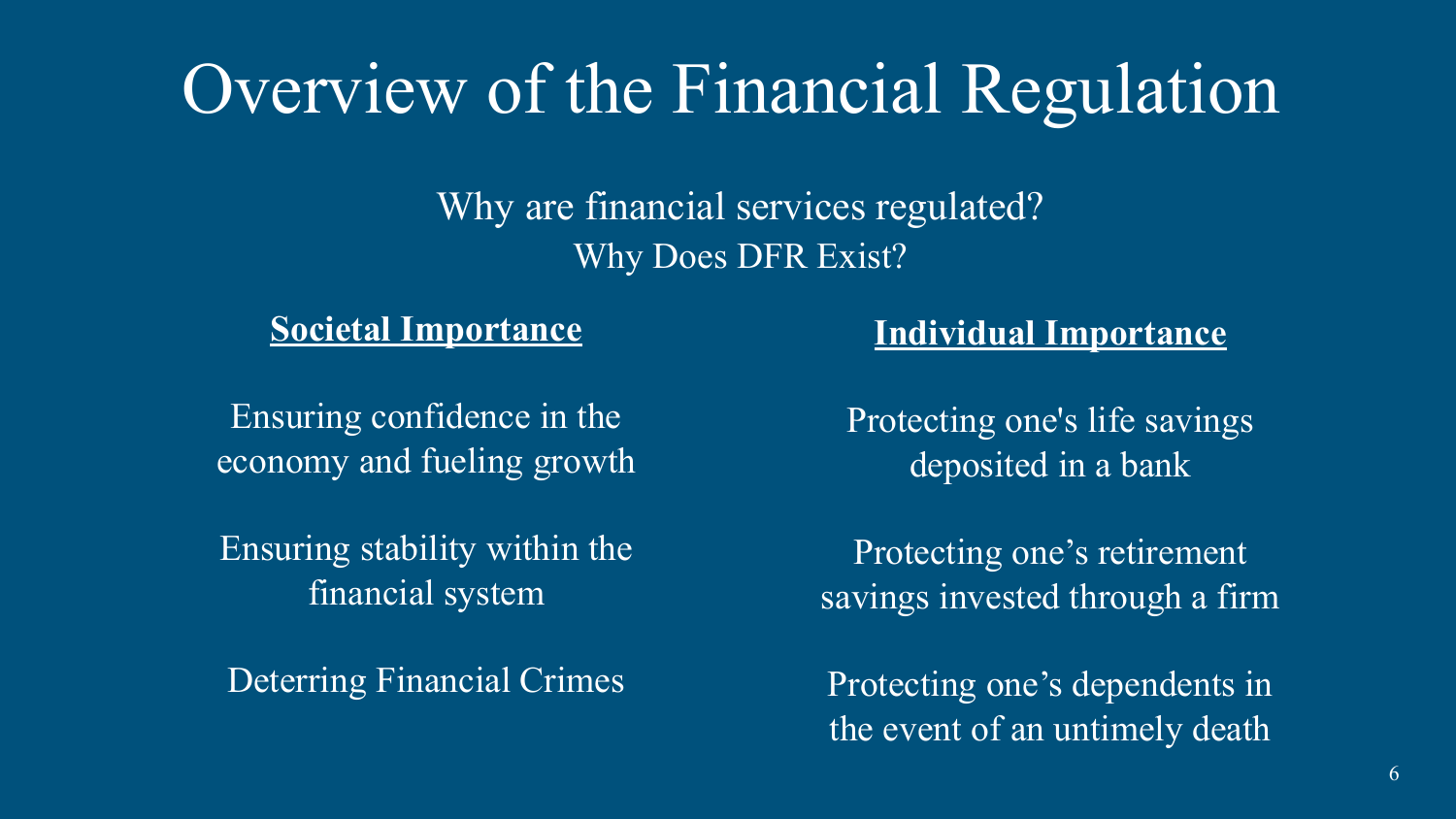## Overview of the Financial Regulation

Why are financial services regulated? Why Does DFR Exist?

**Societal Importance** 

Ensuring confidence in the economy and fueling growth

Ensuring stability within the financial system

Deterring Financial Crimes

#### **Individual Importance**

Protecting one's life savings deposited in a bank

Protecting one's retirement savings invested through a firm

Protecting one's dependents in the event of an untimely death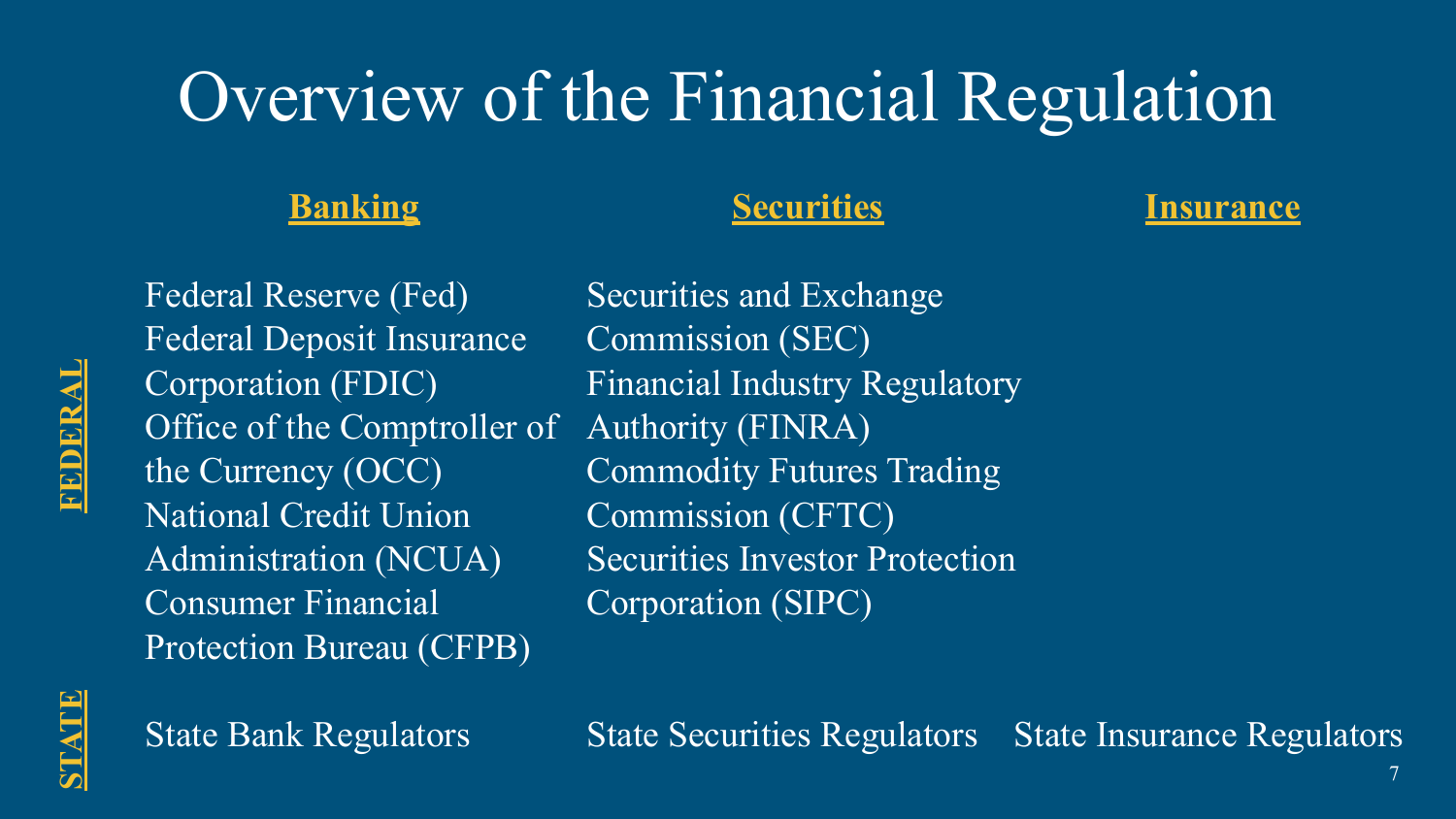## Overview of the Financial Regulation

#### **Banking**

#### **Securities**

#### **Insurance**

Federal Reserve (Fed) Federal Deposit Insurance Corporation (FDIC) Office of the Comptroller of the Currency (OCC) National Credit Union Administration (NCUA) Consumer Financial Protection Bureau (CFPB)

Securities and Exchange Commission (SEC) Financial Industry Regulatory Authority (FINRA) Commodity Futures Trading Commission (CFTC) Securities Investor Protection Corporation (SIPC)



FEDERAL

State Bank Regulators

State Insurance Regulators State Securities Regulators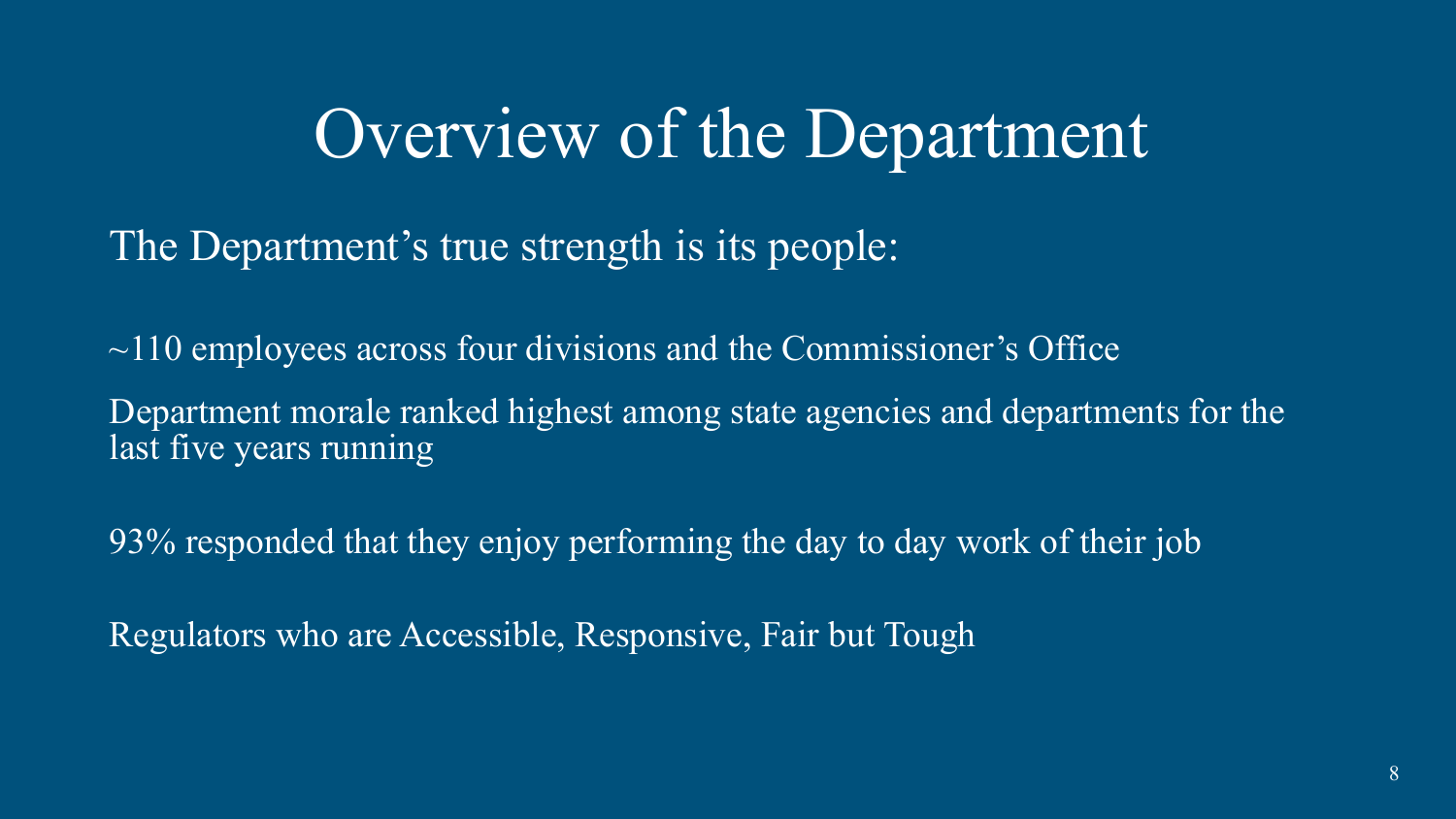The Department's true strength is its people:

 $\sim$ 110 employees across four divisions and the Commissioner's Office Department morale ranked highest among state agencies and departments for the last five years running

93% responded that they enjoy performing the day to day work of their job

Regulators who are Accessible, Responsive, Fair but Tough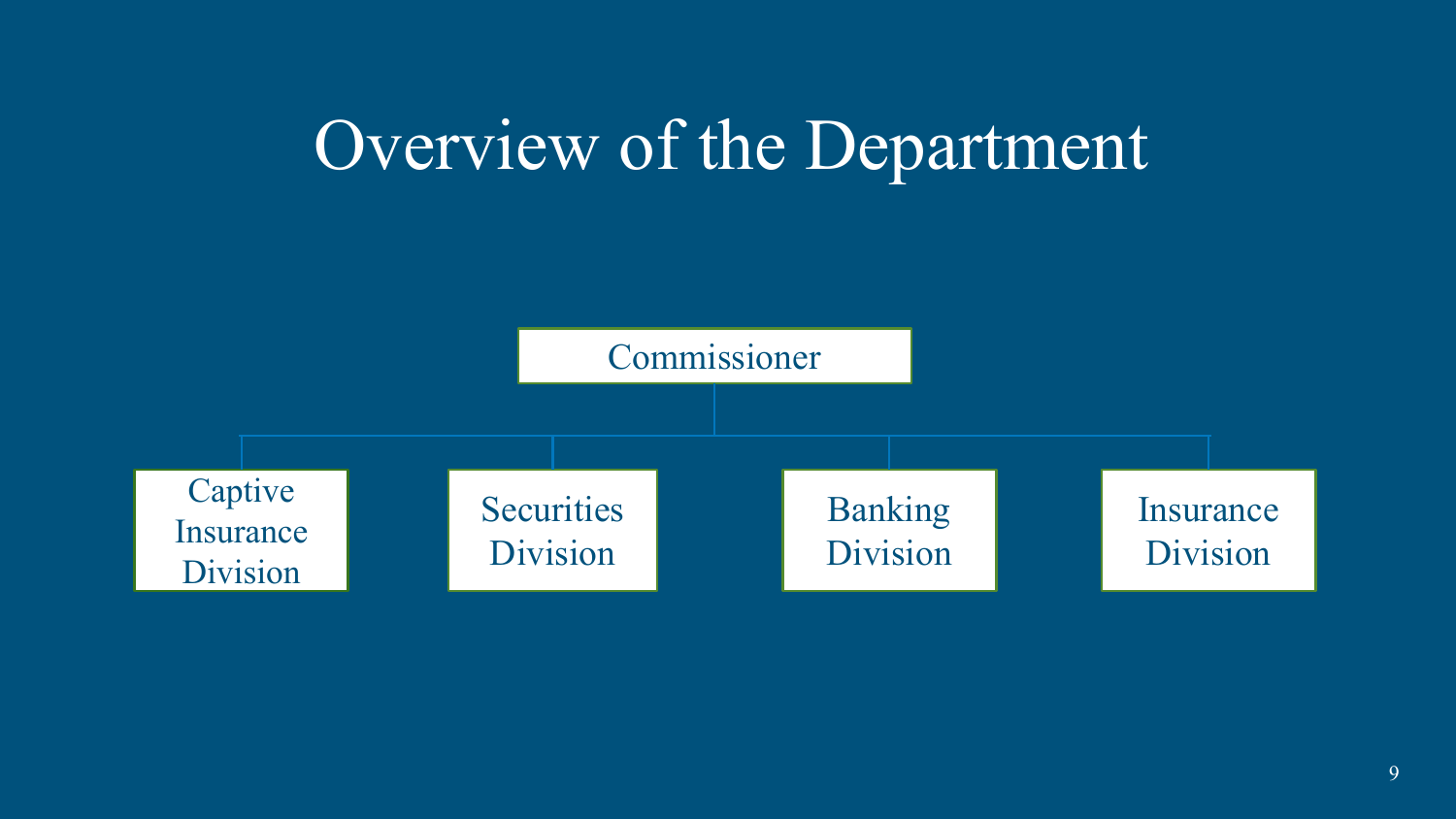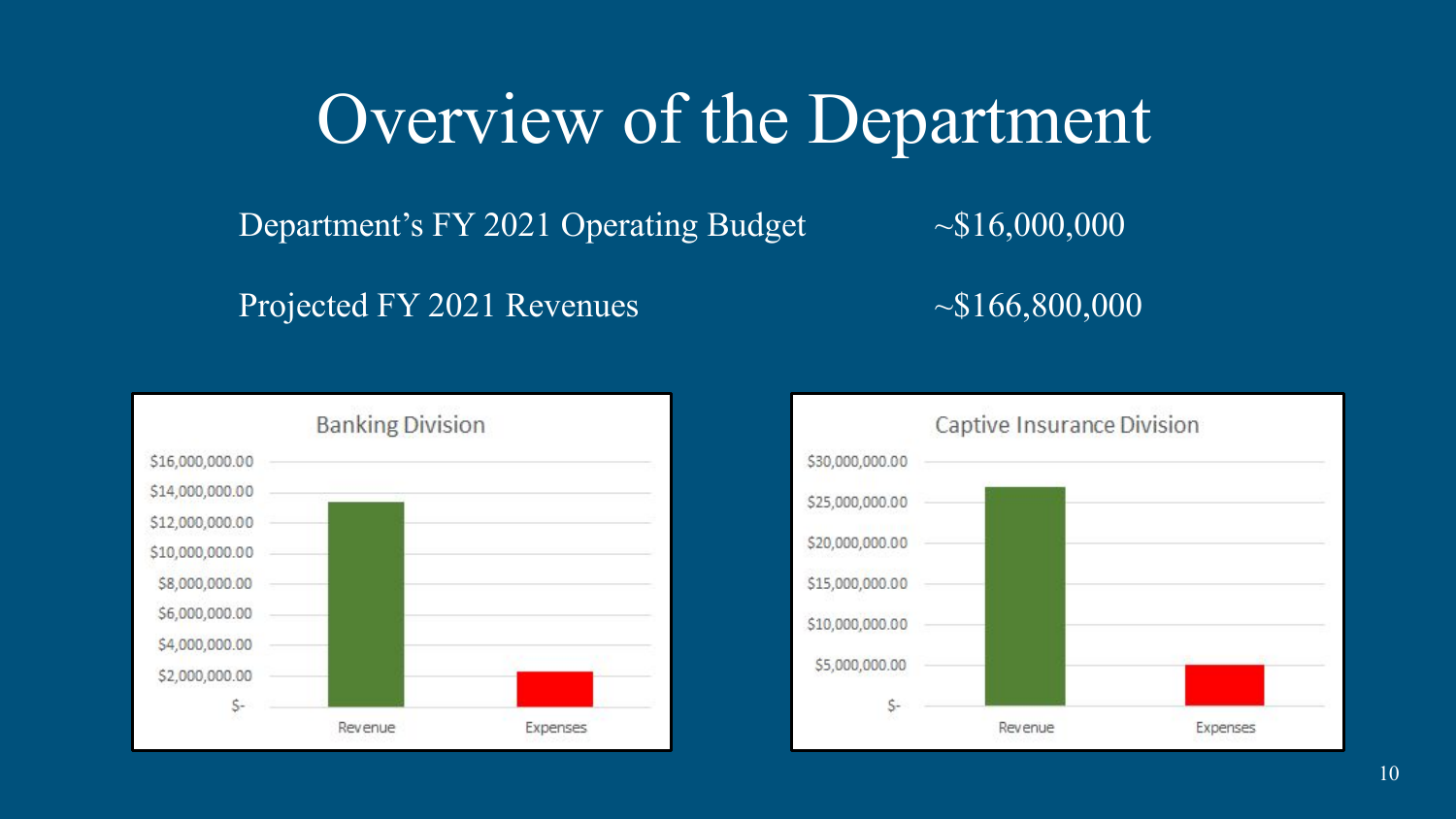Department's FY 2021 Operating Budget  $\sim $16,000,000$ 

Projected FY 2021 Revenues  $\sim $166,800,000$ 



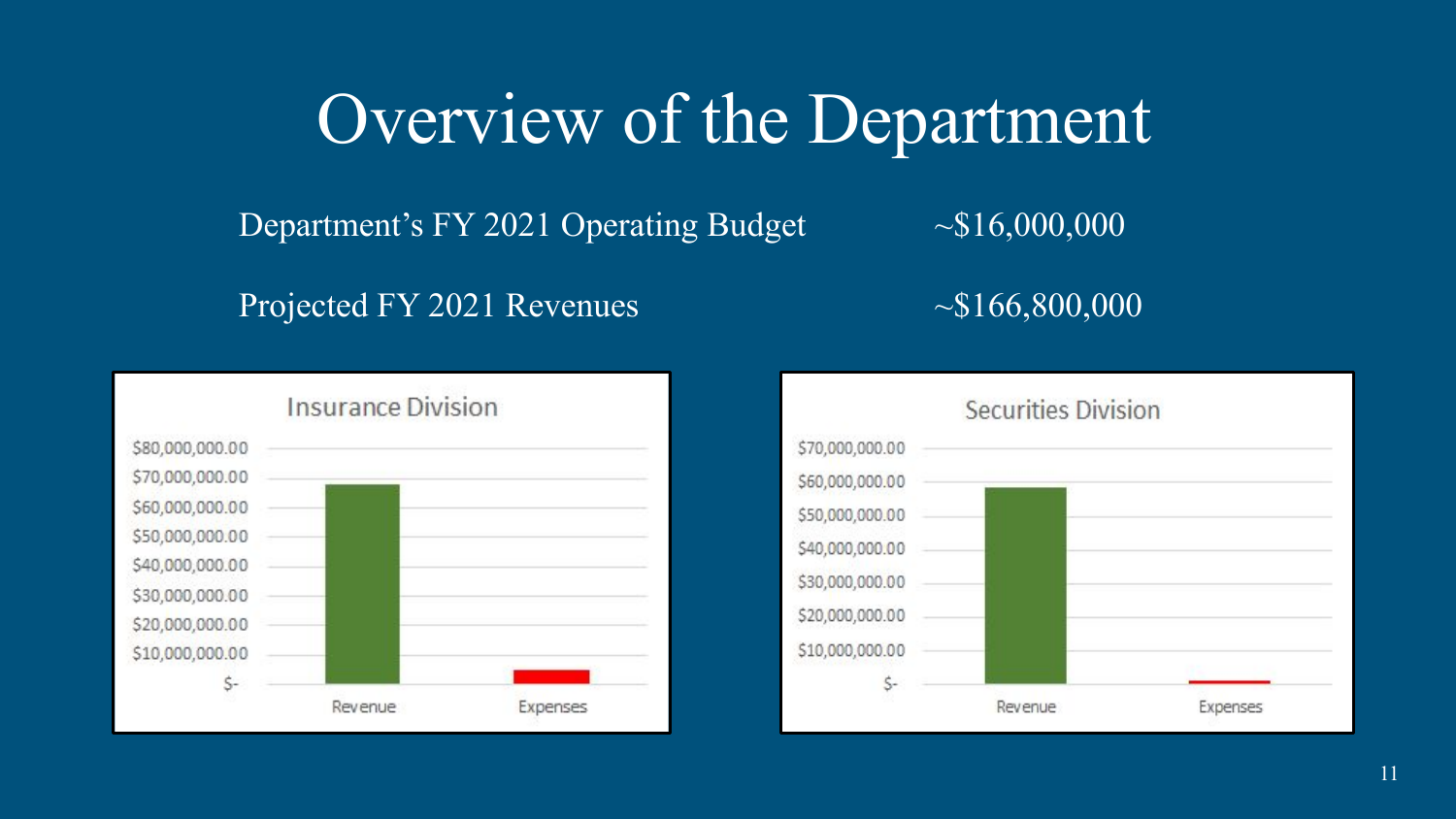Department's FY 2021 Operating Budget  $\sim $16,000,000$ 

Projected FY 2021 Revenues  $\sim $166,800,000$ 



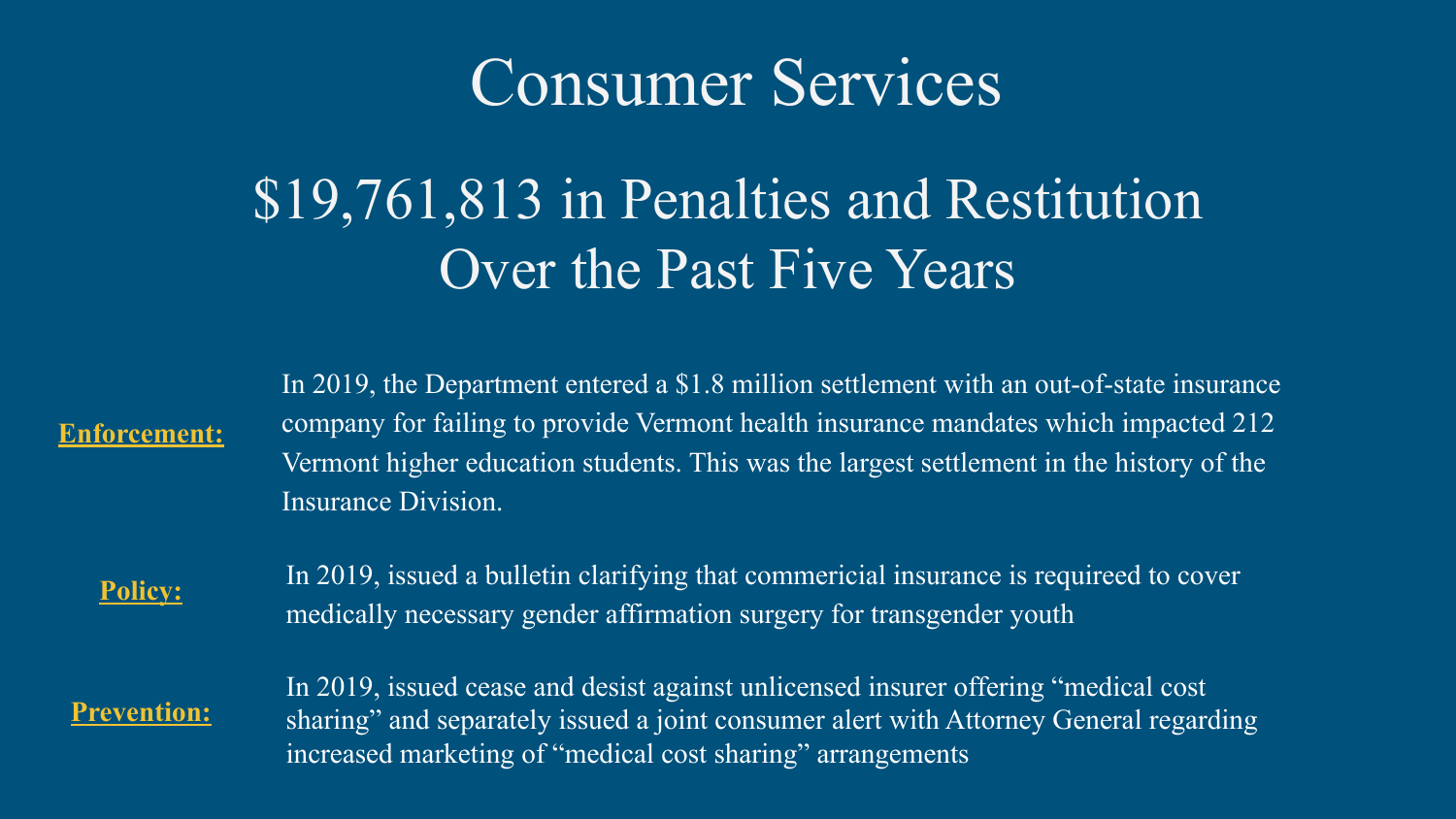### Consumer Services

### \$19,761,813 in Penalties and Restitution Over the Past Five Years

**Enforcement:**

In 2019, the Department entered a \$1.8 million settlement with an out-of-state insurance company for failing to provide Vermont health insurance mandates which impacted 212 Vermont higher education students. This was the largest settlement in the history of the Insurance Division.

**Policy:**

In 2019, issued a bulletin clarifying that commericial insurance is requireed to cover medically necessary gender affirmation surgery for transgender youth

**Prevention:**

In 2019, issued cease and desist against unlicensed insurer offering "medical cost sharing" and separately issued a joint consumer alert with Attorney General regarding increased marketing of "medical cost sharing" arrangements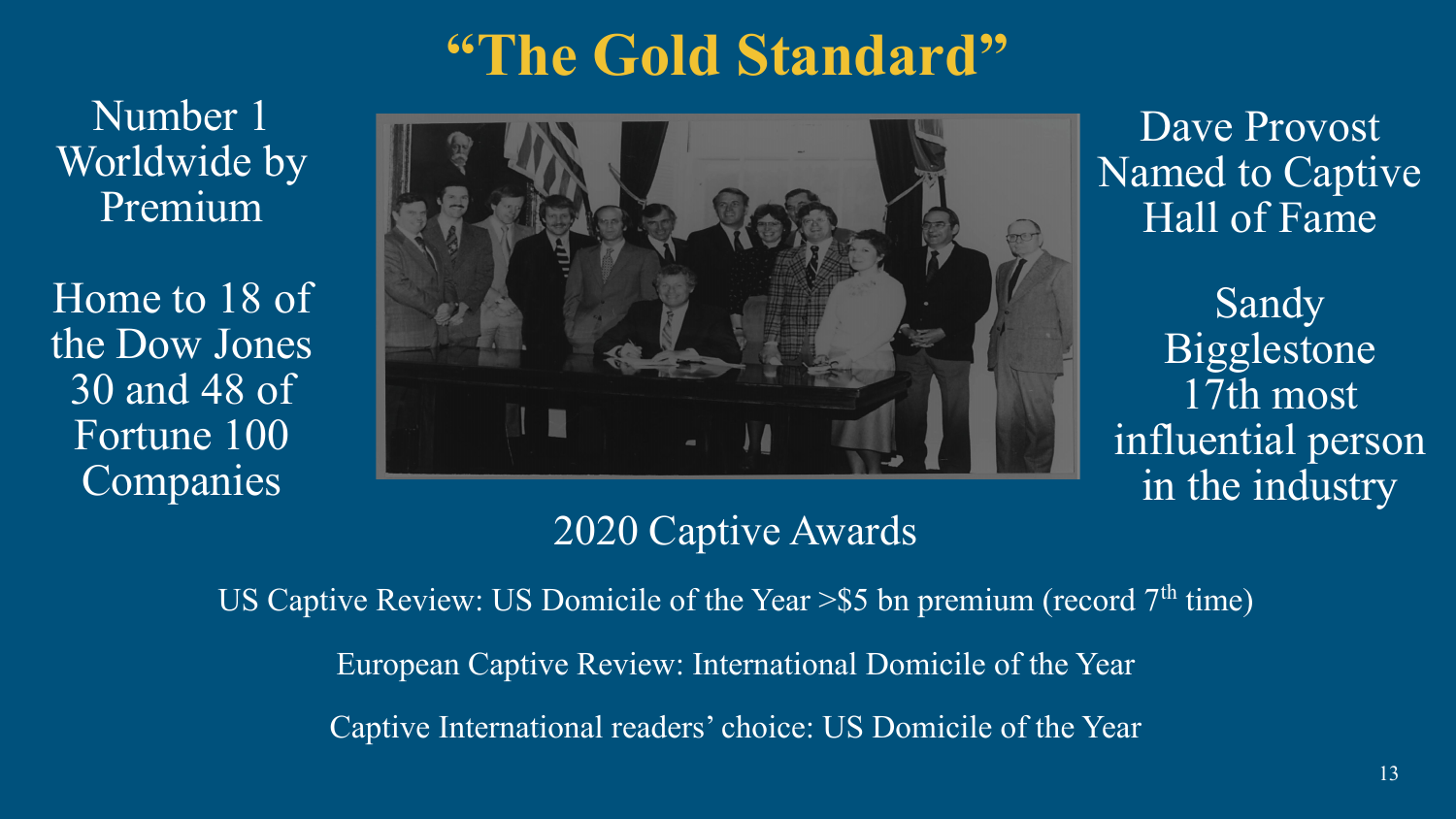### **"The Gold Standard"**

Number 1 Worldwide by Premium

Home to 18 of the Dow Jones 30 and 48 of Fortune 100 Companies



Dave Provost Named to Captive Hall of Fame

Sandy Bigglestone 17th most influential person in the industry

#### 2020 Captive Awards

US Captive Review: US Domicile of the Year  $>$ \$5 bn premium (record 7<sup>th</sup> time) European Captive Review: International Domicile of the Year Captive International readers' choice: US Domicile of the Year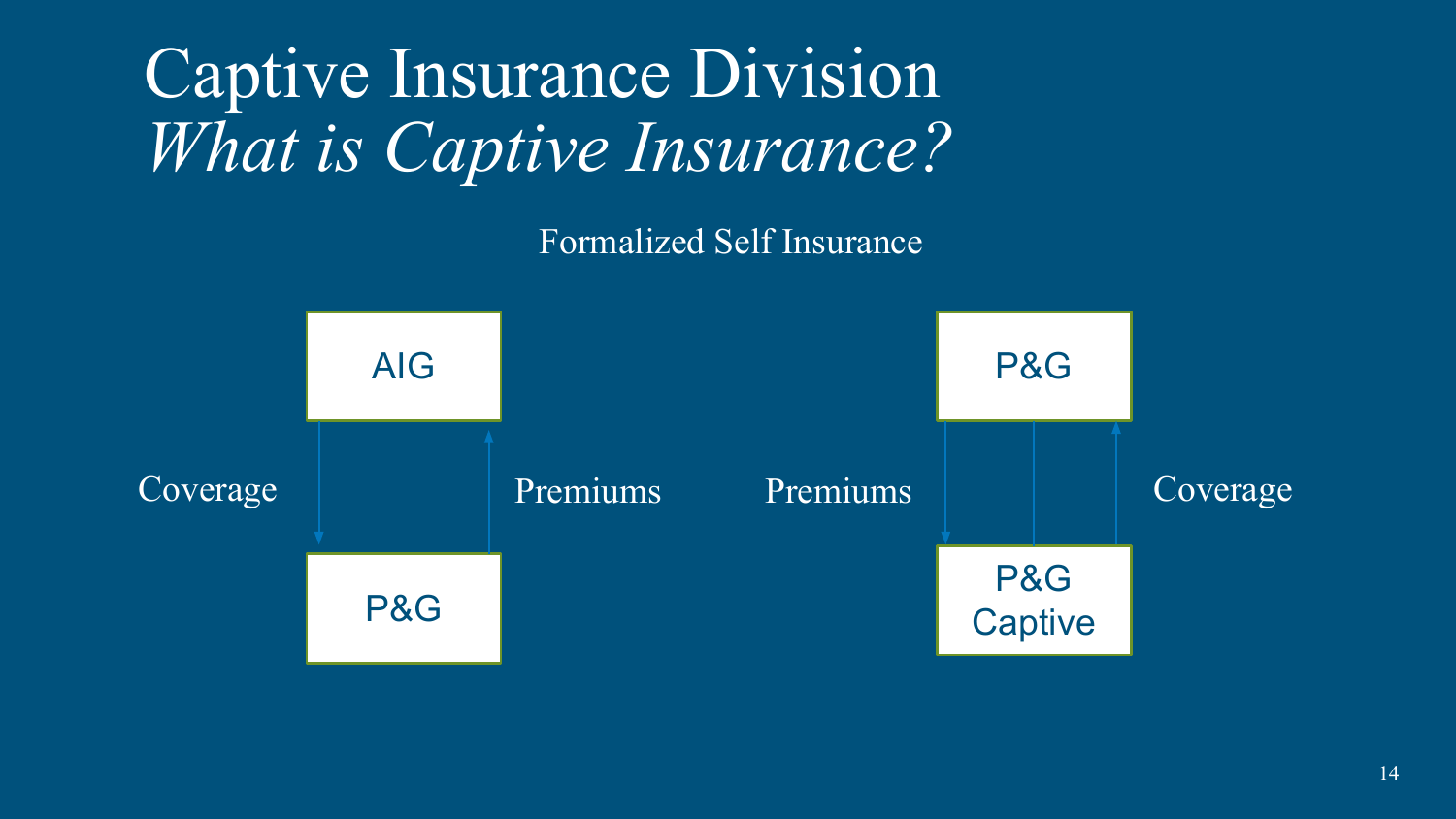Captive Insurance Division *What is Captive Insurance?* 

Formalized Self Insurance

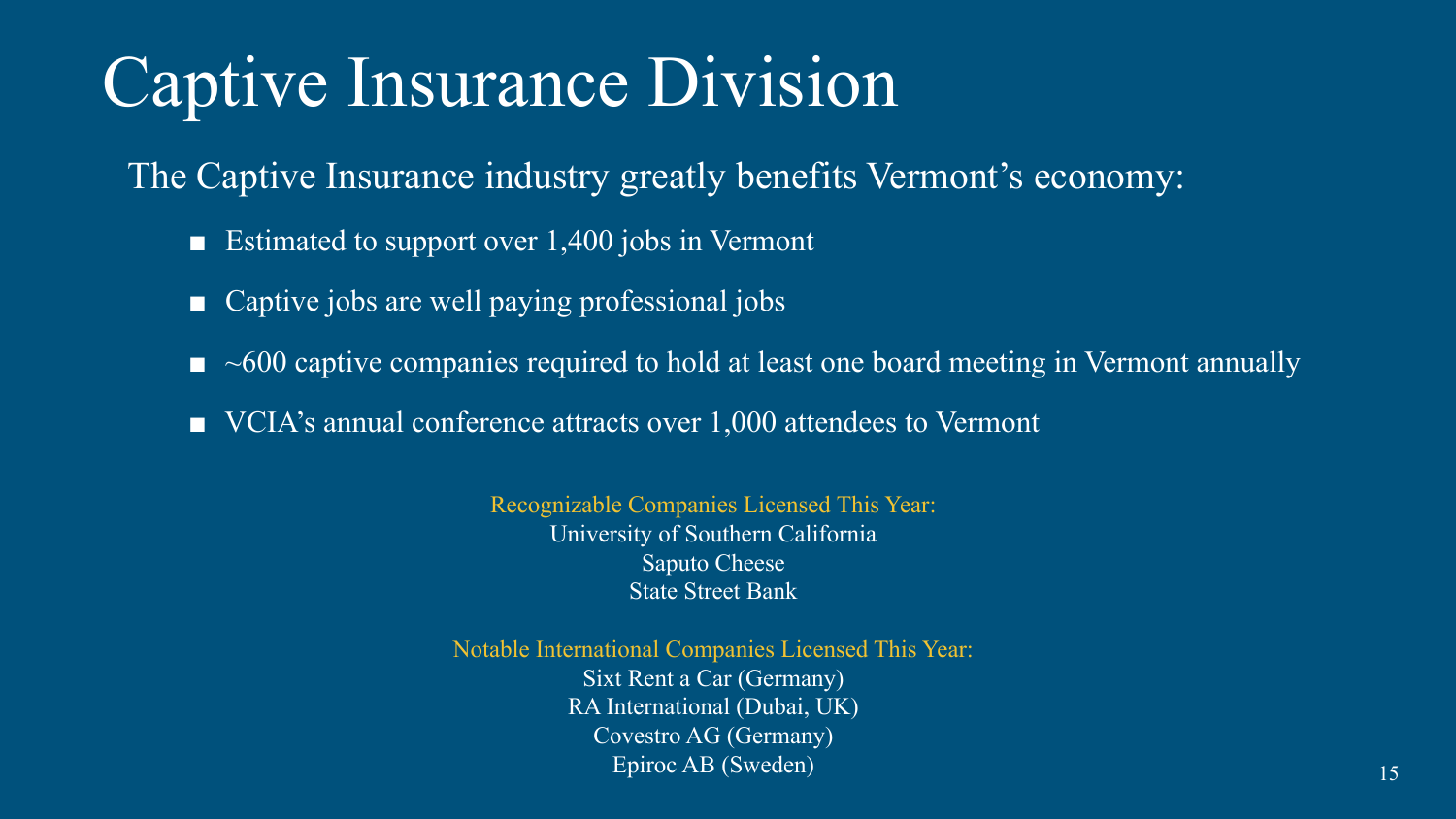## Captive Insurance Division

The Captive Insurance industry greatly benefits Vermont's economy:

- Estimated to support over 1,400 jobs in Vermont
- Captive jobs are well paying professional jobs
- $\blacksquare$  ~600 captive companies required to hold at least one board meeting in Vermont annually
- VCIA's annual conference attracts over 1,000 attendees to Vermont

Recognizable Companies Licensed This Year: University of Southern California Saputo Cheese State Street Bank

Notable International Companies Licensed This Year: Sixt Rent a Car (Germany) RA International (Dubai, UK) Covestro AG (Germany) Epiroc AB (Sweden) 15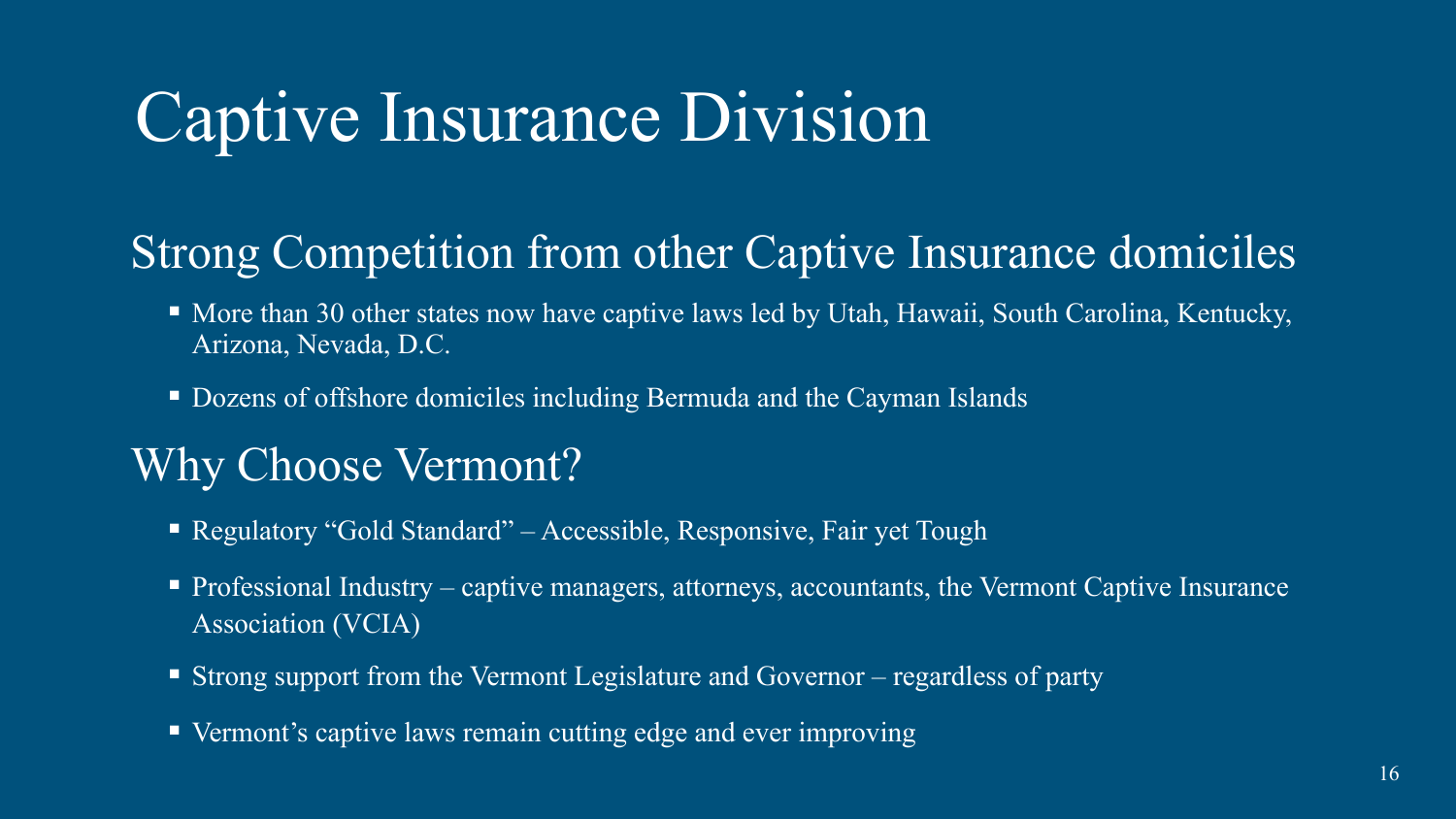## Captive Insurance Division

### Strong Competition from other Captive Insurance domiciles

- More than 30 other states now have captive laws led by Utah, Hawaii, South Carolina, Kentucky, Arizona, Nevada, D.C.
- Dozens of offshore domiciles including Bermuda and the Cayman Islands

### Why Choose Vermont?

- Regulatory "Gold Standard" Accessible, Responsive, Fair yet Tough
- $\blacksquare$  Professional Industry captive managers, attorneys, accountants, the Vermont Captive Insurance Association (VCIA)
- Strong support from the Vermont Legislature and Governor regardless of party
- Vermont's captive laws remain cutting edge and ever improving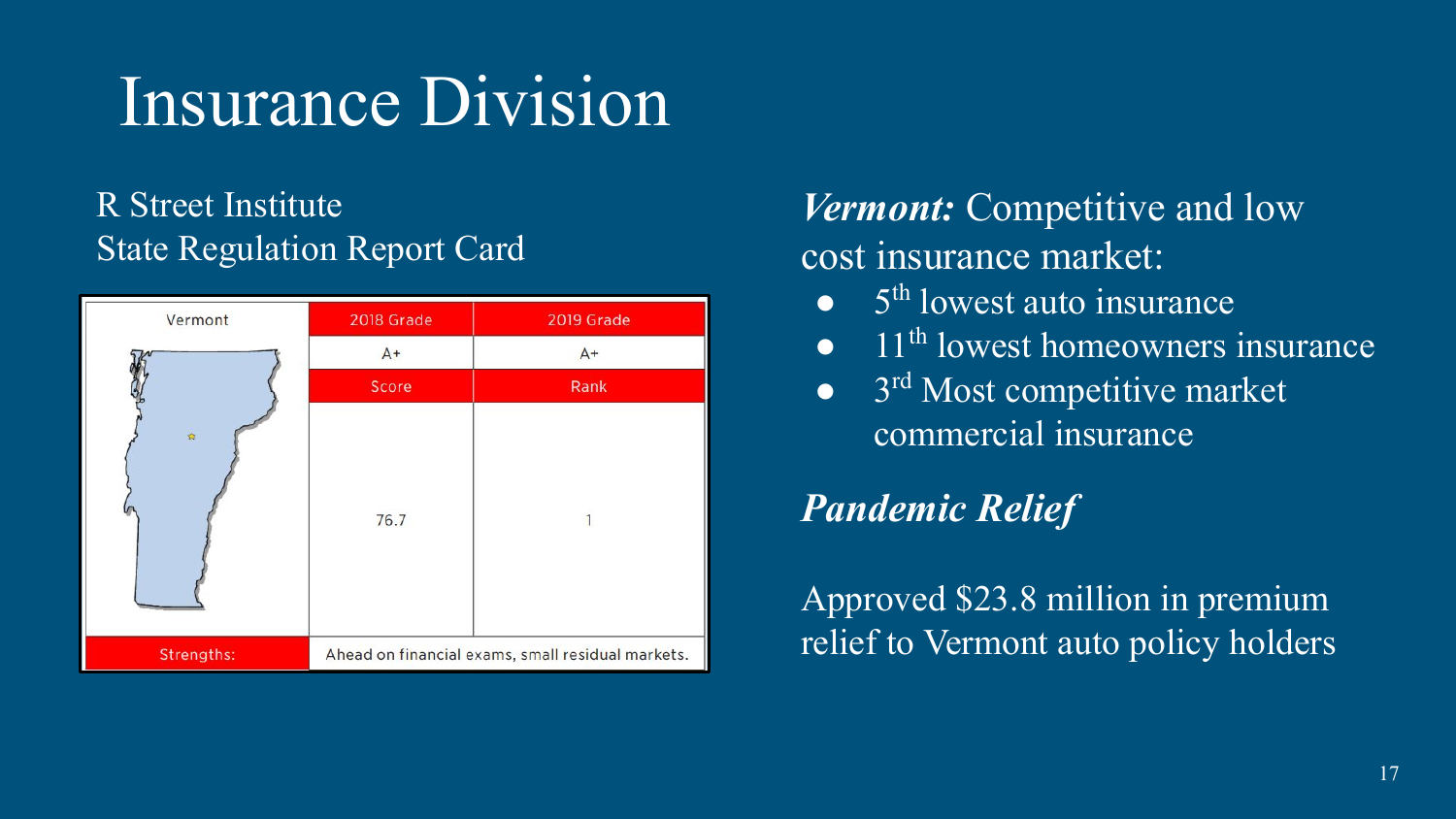## Insurance Division

#### R Street Institute State Regulation Report Card



#### *Vermont:* Competitive and low cost insurance market:

- $\bullet$  5<sup>th</sup> lowest auto insurance
- $\overline{11^{th}}$  lowest homeowners insurance
- $\bullet$  3<sup>rd</sup> Most competitive market commercial insurance

### *Pandemic Relief*

Approved \$23.8 million in premium relief to Vermont auto policy holders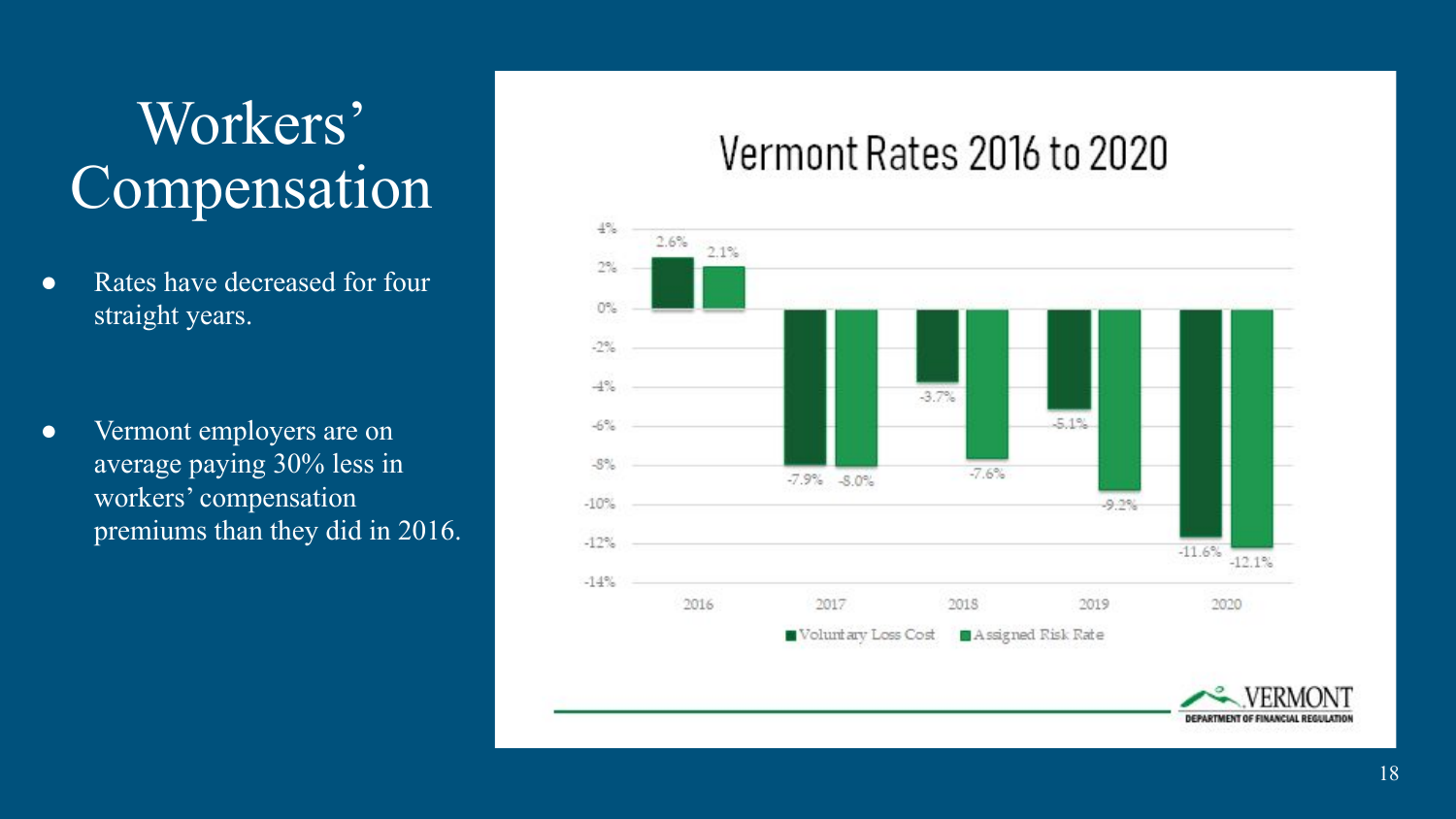### Workers' Compensation

• Rates have decreased for four straight years.

• Vermont employers are on average paying 30% less in workers' compensation premiums than they did in 2016.

### Vermont Rates 2016 to 2020

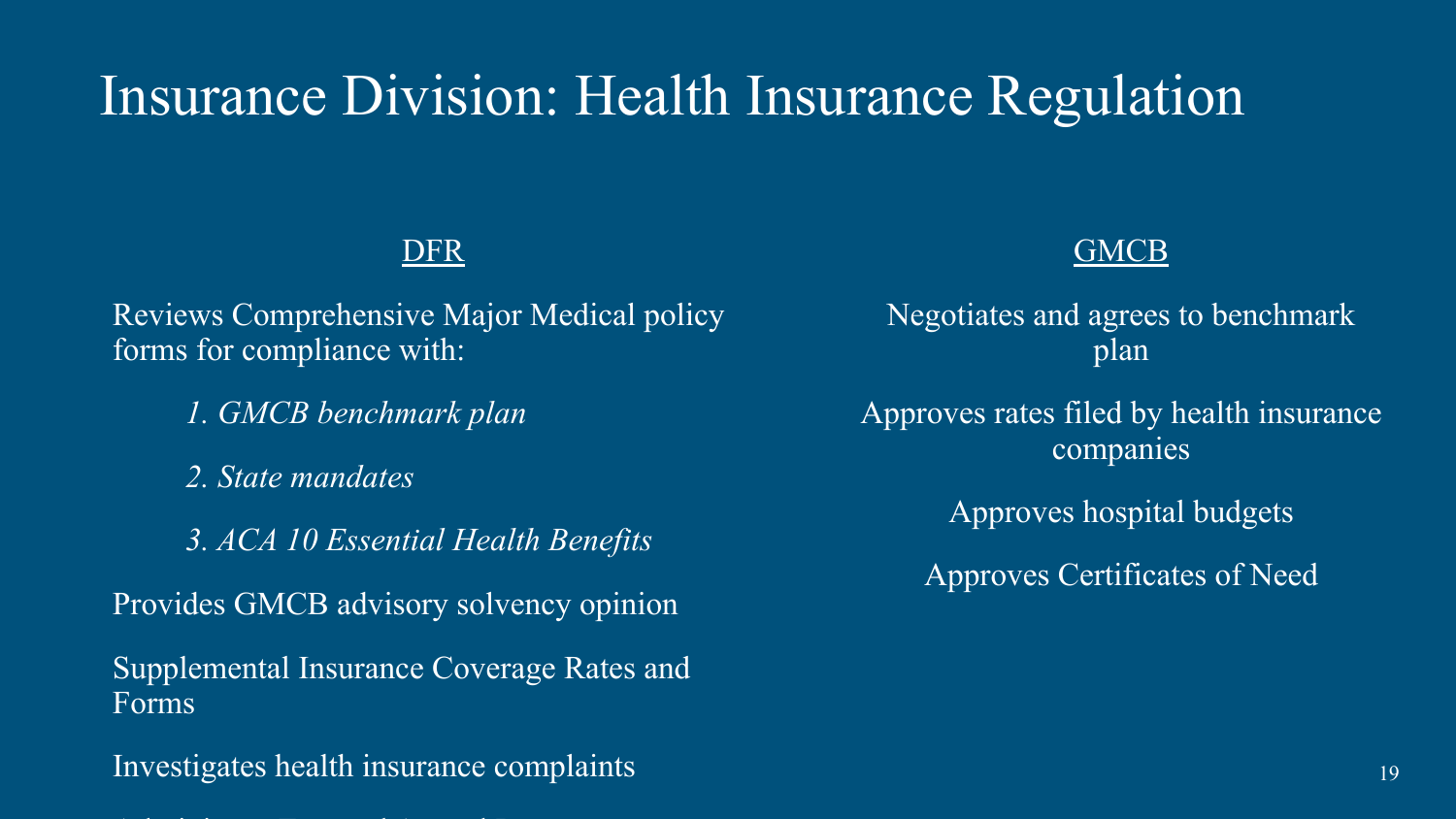### Insurance Division: Health Insurance Regulation

#### DFR

Reviews Comprehensive Major Medical policy forms for compliance with:

- *1. GMCB benchmark plan*
- *2. State mandates*
- *3. ACA 10 Essential Health Benefits*

Provides GMCB advisory solvency opinion

Supplemental Insurance Coverage Rates and Forms

Investigates health insurance complaints

Administers External Appeal Program

#### **GMCB**

Negotiates and agrees to benchmark plan

Approves rates filed by health insurance companies

Approves hospital budgets

Approves Certificates of Need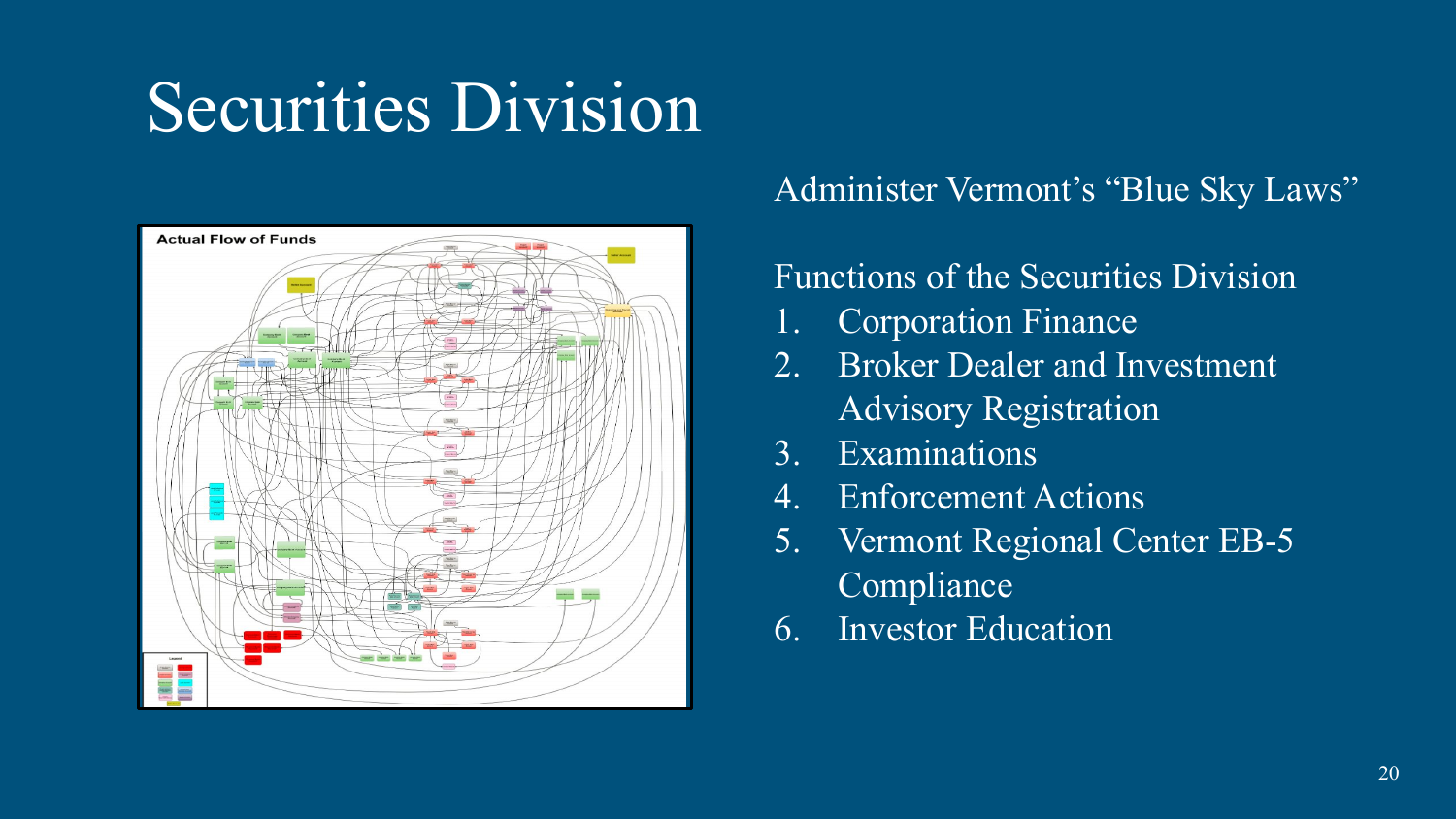## Securities Division



#### Administer Vermont's "Blue Sky Laws"

#### Functions of the Securities Division

- 1. Corporation Finance
- 2. Broker Dealer and Investment Advisory Registration
- 3. Examinations
- 4. Enforcement Actions
- 5. Vermont Regional Center EB-5 Compliance
- 6. Investor Education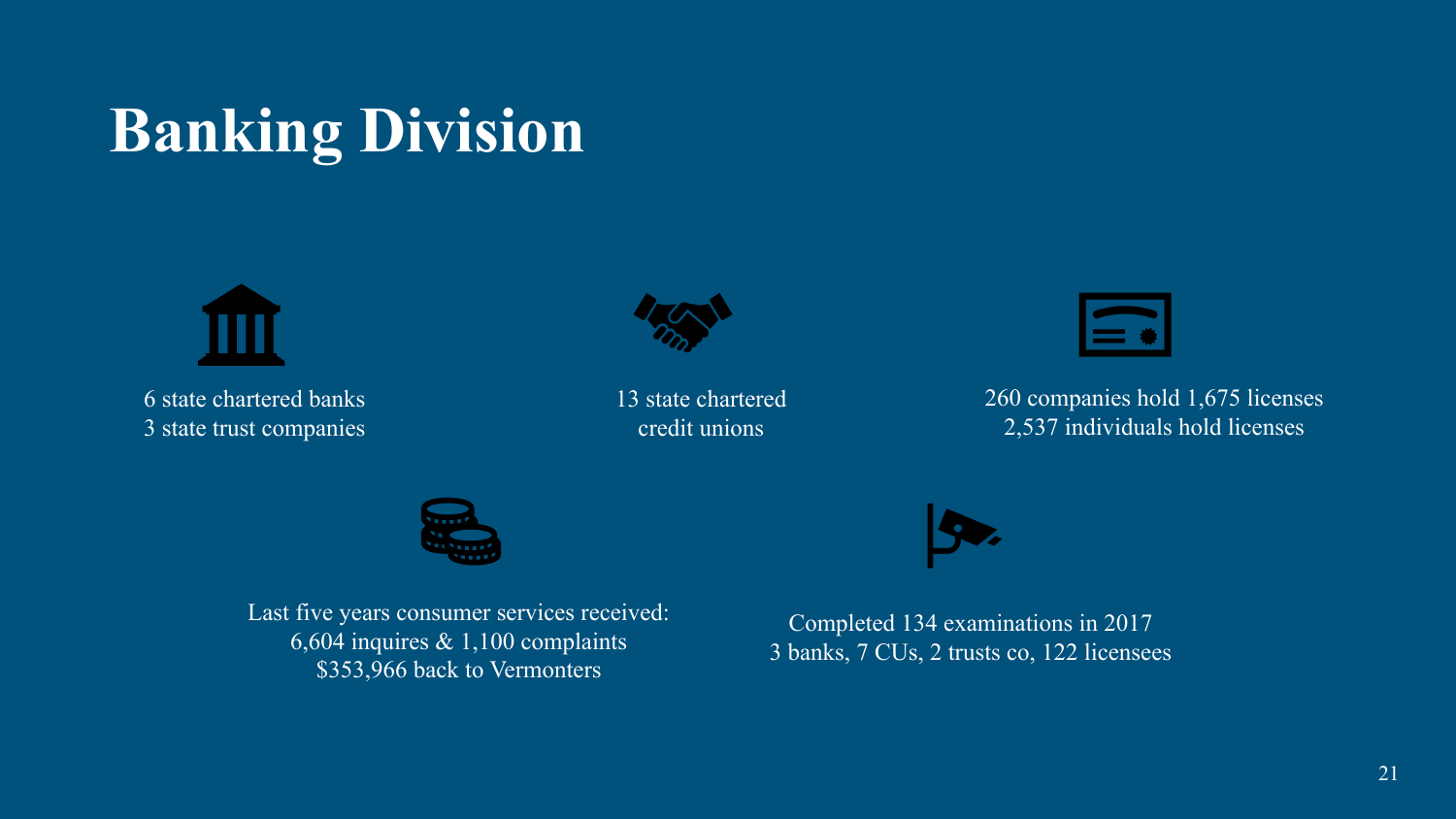## **Banking Division**



6 state chartered banks 3 state trust companies



13 state chartered credit unions



260 companies hold 1,675 licenses 2,537 individuals hold licenses



Last five years consumer services received: 6,604 inquires & 1,100 complaints \$353,966 back to Vermonters

Completed 134 examinations in 2017 3 banks, 7 CUs, 2 trusts co, 122 licensees